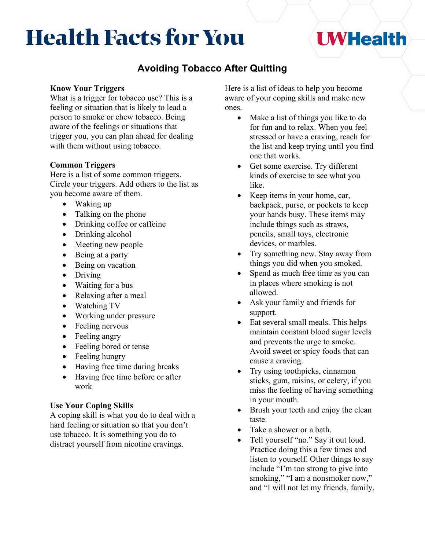# **Health Facts for You**

## **UWHealth**

### **Avoiding Tobacco After Quitting**

#### **Know Your Triggers**

What is a trigger for tobacco use? This is a feeling or situation that is likely to lead a person to smoke or chew tobacco. Being aware of the feelings or situations that trigger you, you can plan ahead for dealing with them without using tobacco.

#### **Common Triggers**

Here is a list of some common triggers. Circle your triggers. Add others to the list as you become aware of them.

- Waking up
- Talking on the phone
- Drinking coffee or caffeine
- Drinking alcohol
- Meeting new people
- Being at a party
- Being on vacation
- Driving
- Waiting for a bus
- Relaxing after a meal
- Watching TV
- Working under pressure
- Feeling nervous
- Feeling angry
- Feeling bored or tense
- Feeling hungry
- Having free time during breaks
- Having free time before or after work

#### **Use Your Coping Skills**

A coping skill is what you do to deal with a hard feeling or situation so that you don't use tobacco. It is something you do to distract yourself from nicotine cravings.

Here is a list of ideas to help you become aware of your coping skills and make new ones.

- Make a list of things you like to do for fun and to relax. When you feel stressed or have a craving, reach for the list and keep trying until you find one that works.
- Get some exercise. Try different kinds of exercise to see what you like.
- Keep items in your home, car, backpack, purse, or pockets to keep your hands busy. These items may include things such as straws, pencils, small toys, electronic devices, or marbles.
- Try something new. Stay away from things you did when you smoked.
- Spend as much free time as you can in places where smoking is not allowed.
- Ask your family and friends for support.
- Eat several small meals. This helps maintain constant blood sugar levels and prevents the urge to smoke. Avoid sweet or spicy foods that can cause a craving.
- Try using toothpicks, cinnamon sticks, gum, raisins, or celery, if you miss the feeling of having something in your mouth.
- Brush your teeth and enjoy the clean taste.
- Take a shower or a bath.
- Tell yourself "no." Say it out loud. Practice doing this a few times and listen to yourself. Other things to say include "I'm too strong to give into smoking," "I am a nonsmoker now," and "I will not let my friends, family,